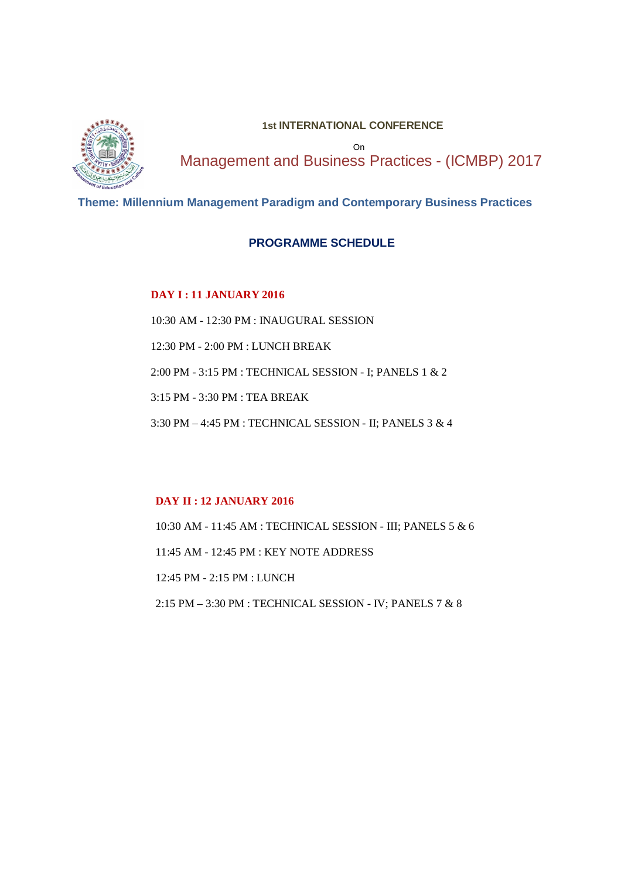

#### **1st INTERNATIONAL CONFERENCE**

On Management and Business Practices - (ICMBP) 2017

#### **Theme: Millennium Management Paradigm and Contemporary Business Practices**

#### **PROGRAMME SCHEDULE**

#### **DAY I : 11 JANUARY 2016**

10:30 AM - 12:30 PM : INAUGURAL SESSION 12:30 PM - 2:00 PM : LUNCH BREAK 2:00 PM - 3:15 PM : TECHNICAL SESSION - I; PANELS 1 & 2 3:15 PM - 3:30 PM : TEA BREAK 3:30 PM – 4:45 PM : TECHNICAL SESSION - II; PANELS 3 & 4

#### **DAY II : 12 JANUARY 2016**

10:30 AM - 11:45 AM : TECHNICAL SESSION - III; PANELS 5 & 6 11:45 AM - 12:45 PM : KEY NOTE ADDRESS 12:45 PM - 2:15 PM : LUNCH 2:15 PM – 3:30 PM : TECHNICAL SESSION - IV; PANELS 7 & 8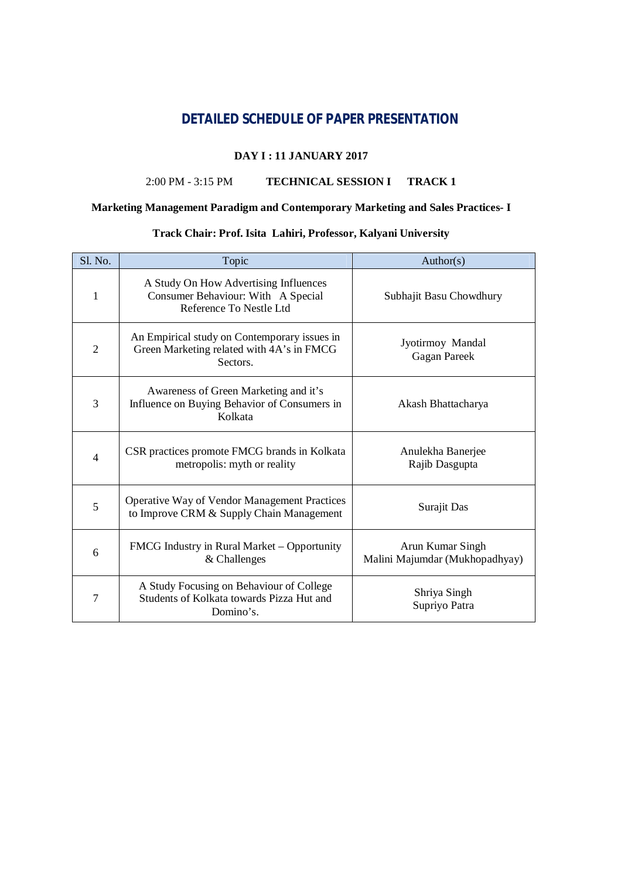## **DETAILED SCHEDULE OF PAPER PRESENTATION**

#### **DAY I : 11 JANUARY 2017**

#### 2:00 PM - 3:15 PM **TECHNICAL SESSION I TRACK 1**

#### **Marketing Management Paradigm and Contemporary Marketing and Sales Practices- I**

#### **Track Chair: Prof. Isita Lahiri, Professor, Kalyani University**

| Sl. No.        | Topic                                                                                                  | Author(s)                                          |
|----------------|--------------------------------------------------------------------------------------------------------|----------------------------------------------------|
| 1              | A Study On How Advertising Influences<br>Consumer Behaviour: With A Special<br>Reference To Nestle Ltd | Subhajit Basu Chowdhury                            |
| $\overline{2}$ | An Empirical study on Contemporary issues in<br>Green Marketing related with 4A's in FMCG<br>Sectors.  | Jyotirmoy Mandal<br><b>Gagan Pareek</b>            |
| 3              | Awareness of Green Marketing and it's<br>Influence on Buying Behavior of Consumers in<br>Kolkata       | Akash Bhattacharya                                 |
| 4              | CSR practices promote FMCG brands in Kolkata<br>metropolis: myth or reality                            | Anulekha Banerjee<br>Rajib Dasgupta                |
| 5              | <b>Operative Way of Vendor Management Practices</b><br>to Improve CRM & Supply Chain Management        | Surajit Das                                        |
| 6              | FMCG Industry in Rural Market – Opportunity<br>& Challenges                                            | Arun Kumar Singh<br>Malini Majumdar (Mukhopadhyay) |
| 7              | A Study Focusing on Behaviour of College<br>Students of Kolkata towards Pizza Hut and<br>Domino's.     | Shriya Singh<br>Supriyo Patra                      |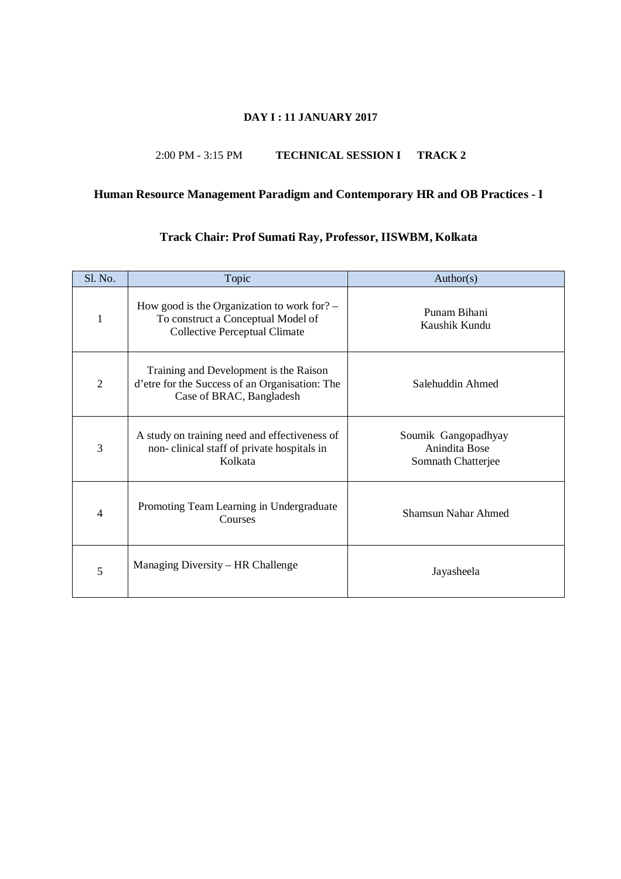#### **DAY I : 11 JANUARY 2017**

#### 2:00 PM - 3:15 PM **TECHNICAL SESSION I TRACK 2**

## **Human Resource Management Paradigm and Contemporary HR and OB Practices - I**

| Sl. No.        | Topic                                                                                                                       | Author(s)                                                  |
|----------------|-----------------------------------------------------------------------------------------------------------------------------|------------------------------------------------------------|
| $\mathbf{1}$   | How good is the Organization to work for? $-$<br>To construct a Conceptual Model of<br><b>Collective Perceptual Climate</b> | Punam Bihani<br>Kaushik Kundu                              |
| 2              | Training and Development is the Raison<br>d'etre for the Success of an Organisation: The<br>Case of BRAC, Bangladesh        | Salehuddin Ahmed                                           |
| 3              | A study on training need and effectiveness of<br>non-clinical staff of private hospitals in<br>Kolkata                      | Soumik Gangopadhyay<br>Anindita Bose<br>Somnath Chatterjee |
| $\overline{4}$ | Promoting Team Learning in Undergraduate<br>Courses                                                                         | Shamsun Nahar Ahmed                                        |
| 5              | Managing Diversity – HR Challenge                                                                                           | Jayasheela                                                 |

## **Track Chair: Prof Sumati Ray, Professor, IISWBM, Kolkata**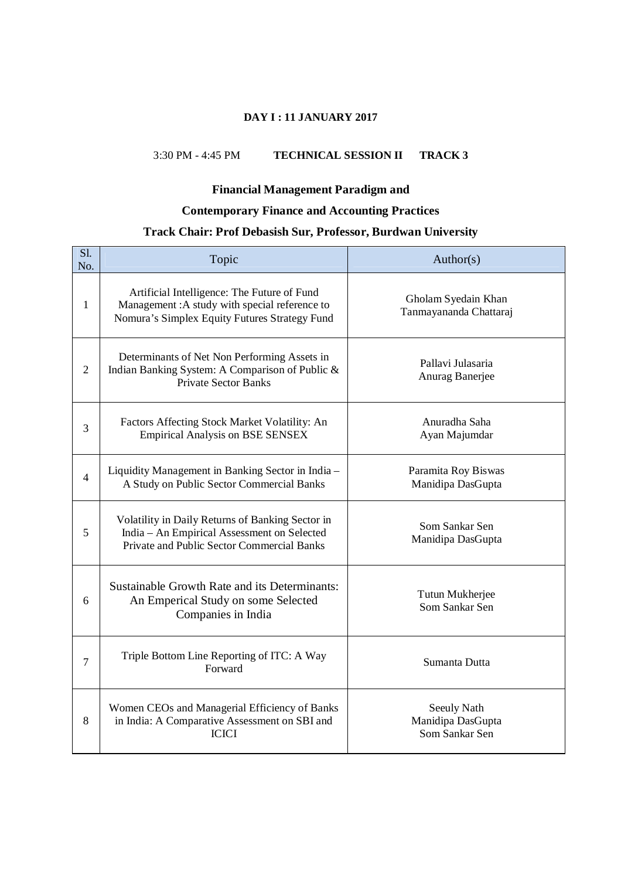#### **DAY I : 11 JANUARY 2017**

#### 3:30 PM - 4:45 PM **TECHNICAL SESSION II TRACK 3**

#### **Financial Management Paradigm and**

## **Contemporary Finance and Accounting Practices**

## **Track Chair: Prof Debasish Sur, Professor, Burdwan University**

| Sl.<br>No.     | Topic                                                                                                                                         | Author(s)                                          |
|----------------|-----------------------------------------------------------------------------------------------------------------------------------------------|----------------------------------------------------|
| 1              | Artificial Intelligence: The Future of Fund<br>Management: A study with special reference to<br>Nomura's Simplex Equity Futures Strategy Fund | Gholam Syedain Khan<br>Tanmayananda Chattaraj      |
| $\overline{2}$ | Determinants of Net Non Performing Assets in<br>Indian Banking System: A Comparison of Public &<br><b>Private Sector Banks</b>                | Pallavi Julasaria<br>Anurag Banerjee               |
| 3              | Factors Affecting Stock Market Volatility: An<br><b>Empirical Analysis on BSE SENSEX</b>                                                      | Anuradha Saha<br>Ayan Majumdar                     |
| $\overline{4}$ | Liquidity Management in Banking Sector in India -<br>A Study on Public Sector Commercial Banks                                                | Paramita Roy Biswas<br>Manidipa DasGupta           |
| 5              | Volatility in Daily Returns of Banking Sector in<br>India - An Empirical Assessment on Selected<br>Private and Public Sector Commercial Banks | Som Sankar Sen<br>Manidipa DasGupta                |
| 6              | <b>Sustainable Growth Rate and its Determinants:</b><br>An Emperical Study on some Selected<br>Companies in India                             | Tutun Mukherjee<br>Som Sankar Sen                  |
| 7              | Triple Bottom Line Reporting of ITC: A Way<br>Forward                                                                                         | Sumanta Dutta                                      |
| 8              | Women CEOs and Managerial Efficiency of Banks<br>in India: A Comparative Assessment on SBI and<br><b>ICICI</b>                                | Seeuly Nath<br>Manidipa DasGupta<br>Som Sankar Sen |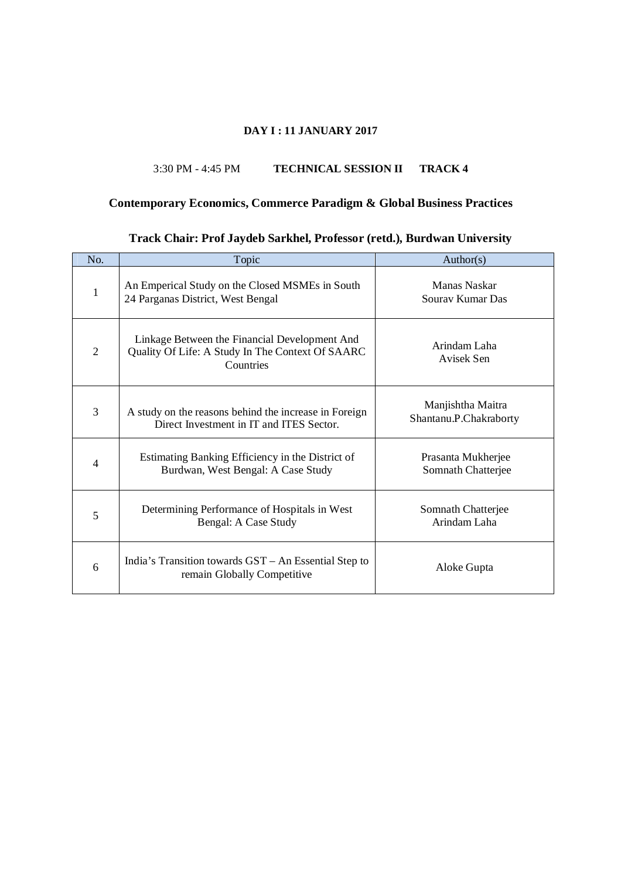#### **DAY I : 11 JANUARY 2017**

#### 3:30 PM - 4:45 PM **TECHNICAL SESSION II TRACK 4**

# **Contemporary Economics, Commerce Paradigm & Global Business Practices**

## **Track Chair: Prof Jaydeb Sarkhel, Professor (retd.), Burdwan University**

| No.            | Topic                                                                                                          | Author(s)                                   |
|----------------|----------------------------------------------------------------------------------------------------------------|---------------------------------------------|
| $\mathbf{1}$   | An Emperical Study on the Closed MSMEs in South<br>24 Parganas District, West Bengal                           | Manas Naskar<br>Sourav Kumar Das            |
| $\overline{2}$ | Linkage Between the Financial Development And<br>Quality Of Life: A Study In The Context Of SAARC<br>Countries | Arindam Laha<br>Avisek Sen                  |
| 3              | A study on the reasons behind the increase in Foreign<br>Direct Investment in IT and ITES Sector.              | Manjishtha Maitra<br>Shantanu.P.Chakraborty |
| 4              | Estimating Banking Efficiency in the District of<br>Burdwan, West Bengal: A Case Study                         | Prasanta Mukherjee<br>Somnath Chatterjee    |
| 5              | Determining Performance of Hospitals in West<br>Bengal: A Case Study                                           | Somnath Chatterjee<br>Arindam Laha          |
| 6              | India's Transition towards GST – An Essential Step to<br>remain Globally Competitive                           | Aloke Gupta                                 |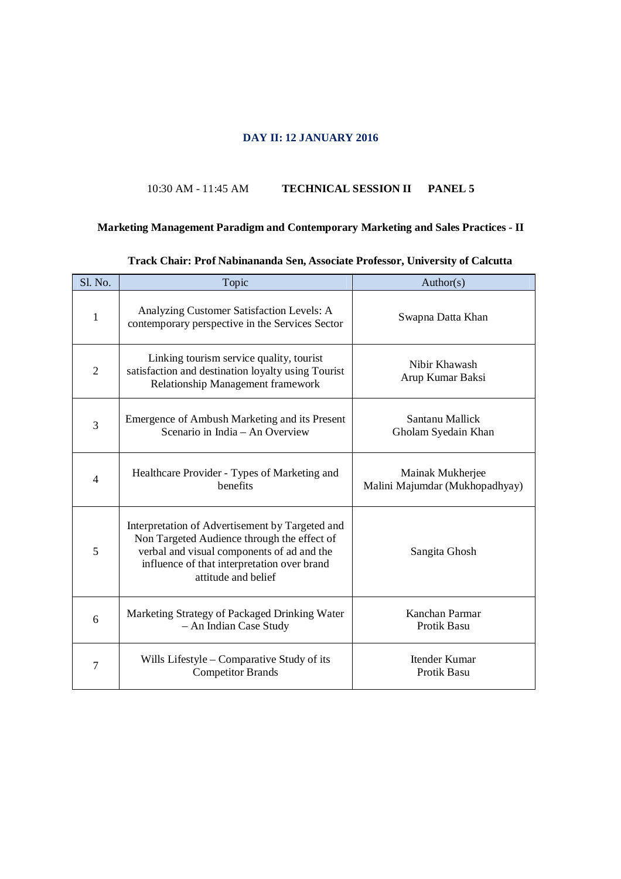## **DAY II: 12 JANUARY 2016**

#### 10:30 AM - 11:45 AM **TECHNICAL SESSION II PANEL 5**

## **Marketing Management Paradigm and Contemporary Marketing and Sales Practices - II**

| Sl. No.      | Topic                                                                                                                                                                                                              | Author(s)                                          |
|--------------|--------------------------------------------------------------------------------------------------------------------------------------------------------------------------------------------------------------------|----------------------------------------------------|
| $\mathbf{1}$ | Analyzing Customer Satisfaction Levels: A<br>contemporary perspective in the Services Sector                                                                                                                       | Swapna Datta Khan                                  |
| 2            | Linking tourism service quality, tourist<br>satisfaction and destination loyalty using Tourist<br>Relationship Management framework                                                                                | Nibir Khawash<br>Arup Kumar Baksi                  |
| 3            | Emergence of Ambush Marketing and its Present<br>Scenario in India – An Overview                                                                                                                                   | Santanu Mallick<br>Gholam Syedain Khan             |
| 4            | Healthcare Provider - Types of Marketing and<br>henefits                                                                                                                                                           | Mainak Mukherjee<br>Malini Majumdar (Mukhopadhyay) |
| 5            | Interpretation of Advertisement by Targeted and<br>Non Targeted Audience through the effect of<br>verbal and visual components of ad and the<br>influence of that interpretation over brand<br>attitude and belief | Sangita Ghosh                                      |
| 6            | Marketing Strategy of Packaged Drinking Water<br>- An Indian Case Study                                                                                                                                            | Kanchan Parmar<br>Protik Basu                      |
| 7            | Wills Lifestyle – Comparative Study of its<br><b>Competitor Brands</b>                                                                                                                                             | Itender Kumar<br><b>Protik Basu</b>                |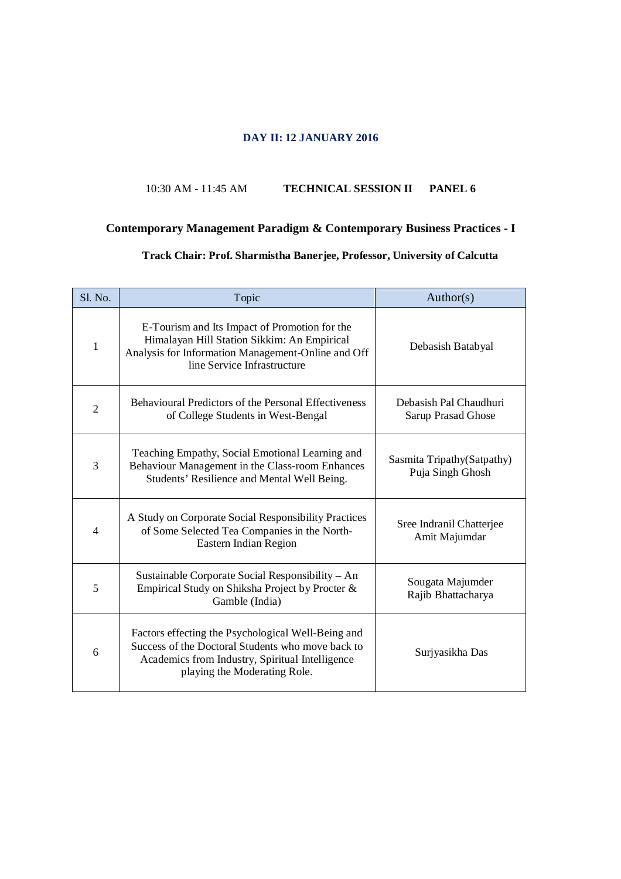#### **DAY II: 12 JANUARY 2016**

#### 10:30 AM - 11:45 AM **TECHNICAL SESSION II PANEL 6**

## **Contemporary Management Paradigm & Contemporary Business Practices - I**

## **Track Chair: Prof. Sharmistha Banerjee, Professor, University of Calcutta**

| Sl. No.        | Topic                                                                                                                                                                                      | Author(s)                                       |
|----------------|--------------------------------------------------------------------------------------------------------------------------------------------------------------------------------------------|-------------------------------------------------|
| 1              | E-Tourism and Its Impact of Promotion for the<br>Himalayan Hill Station Sikkim: An Empirical<br>Analysis for Information Management-Online and Off<br>line Service Infrastructure          | Debasish Batabyal                               |
| $\overline{2}$ | <b>Behavioural Predictors of the Personal Effectiveness</b><br>of College Students in West-Bengal                                                                                          | Debasish Pal Chaudhuri<br>Sarup Prasad Ghose    |
| 3              | Teaching Empathy, Social Emotional Learning and<br>Behaviour Management in the Class-room Enhances<br>Students' Resilience and Mental Well Being.                                          | Sasmita Tripathy (Satpathy)<br>Puja Singh Ghosh |
| 4              | A Study on Corporate Social Responsibility Practices<br>of Some Selected Tea Companies in the North-<br>Eastern Indian Region                                                              | Sree Indranil Chatterjee<br>Amit Majumdar       |
| 5              | Sustainable Corporate Social Responsibility – An<br>Empirical Study on Shiksha Project by Procter &<br>Gamble (India)                                                                      | Sougata Majumder<br>Rajib Bhattacharya          |
| 6              | Factors effecting the Psychological Well-Being and<br>Success of the Doctoral Students who move back to<br>Academics from Industry, Spiritual Intelligence<br>playing the Moderating Role. | Surjyasikha Das                                 |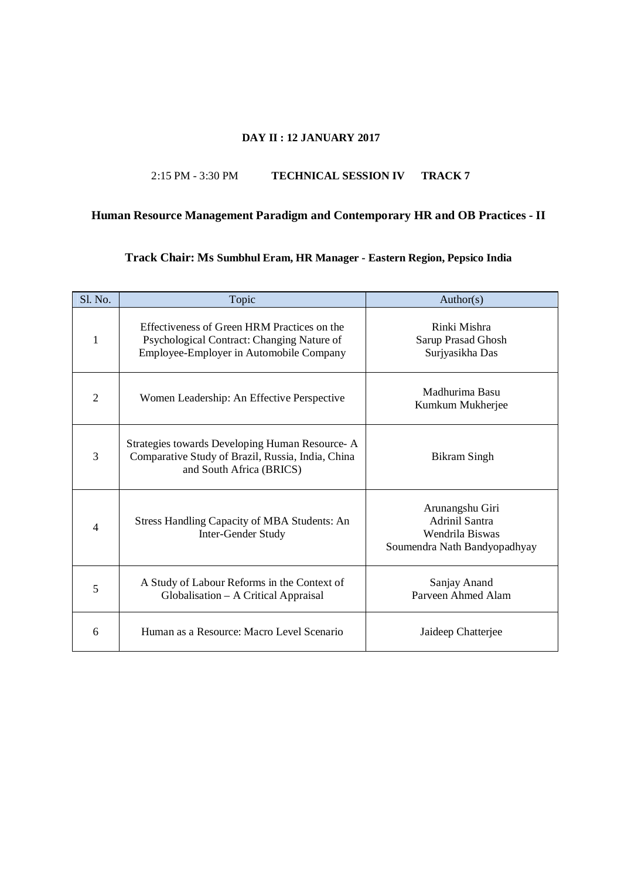#### **DAY II : 12 JANUARY 2017**

#### 2:15 PM - 3:30 PM **TECHNICAL SESSION IV TRACK 7**

## **Human Resource Management Paradigm and Contemporary HR and OB Practices - II**

#### **Track Chair: Ms Sumbhul Eram, HR Manager - Eastern Region, Pepsico India**

| <b>Sl. No.</b> | Topic                                                                                                                                | Author(s)                                                                                   |
|----------------|--------------------------------------------------------------------------------------------------------------------------------------|---------------------------------------------------------------------------------------------|
| 1              | Effectiveness of Green HRM Practices on the<br>Psychological Contract: Changing Nature of<br>Employee-Employer in Automobile Company | Rinki Mishra<br>Sarup Prasad Ghosh<br>Surjyasikha Das                                       |
| $\overline{2}$ | Women Leadership: An Effective Perspective                                                                                           | Madhurima Basu<br>Kumkum Mukherjee                                                          |
| 3              | Strategies towards Developing Human Resource- A<br>Comparative Study of Brazil, Russia, India, China<br>and South Africa (BRICS)     | <b>Bikram Singh</b>                                                                         |
| 4              | <b>Stress Handling Capacity of MBA Students: An</b><br>Inter-Gender Study                                                            | Arunangshu Giri<br><b>Adrinil Santra</b><br>Wendrila Biswas<br>Soumendra Nath Bandyopadhyay |
| 5              | A Study of Labour Reforms in the Context of<br>Globalisation – A Critical Appraisal                                                  | Sanjay Anand<br>Parveen Ahmed Alam                                                          |
| 6              | Human as a Resource: Macro Level Scenario                                                                                            | Jaideep Chatterjee                                                                          |